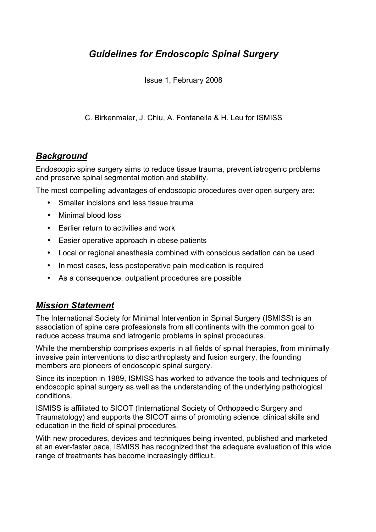# *Guidelines for Endoscopic Spinal Surgery*

Issue 1, February 2008

C. Birkenmaier, J. Chiu, A. Fontanella & H. Leu for ISMISS

### *Background*

Endoscopic spine surgery aims to reduce tissue trauma, prevent iatrogenic problems and preserve spinal segmental motion and stability.

The most compelling advantages of endoscopic procedures over open surgery are:

- Smaller incisions and less tissue trauma
- Minimal blood loss
- Earlier return to activities and work
- Easier operative approach in obese patients
- Local or regional anesthesia combined with conscious sedation can be used
- In most cases, less postoperative pain medication is required
- As a consequence, outpatient procedures are possible

### *Mission Statement*

The International Society for Minimal Intervention in Spinal Surgery (ISMISS) is an association of spine care professionals from all continents with the common goal to reduce access trauma and iatrogenic problems in spinal procedures.

While the membership comprises experts in all fields of spinal therapies, from minimally invasive pain interventions to disc arthroplasty and fusion surgery, the founding members are pioneers of endoscopic spinal surgery.

Since its inception in 1989, ISMISS has worked to advance the tools and techniques of endoscopic spinal surgery as well as the understanding of the underlying pathological conditions.

ISMISS is affiliated to SICOT (International Society of Orthopaedic Surgery and Traumatology) and supports the SICOT aims of promoting science, clinical skills and education in the field of spinal procedures.

With new procedures, devices and techniques being invented, published and marketed at an ever-faster pace, ISMISS has recognized that the adequate evaluation of this wide range of treatments has become increasingly difficult.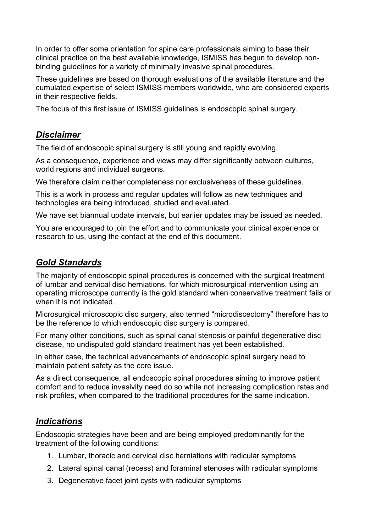In order to offer some orientation for spine care professionals aiming to base their clinical practice on the best available knowledge, ISMISS has begun to develop nonbinding guidelines for a variety of minimally invasive spinal procedures.

These guidelines are based on thorough evaluations of the available literature and the cumulated expertise of select ISMISS members worldwide, who are considered experts in their respective fields.

The focus of this first issue of ISMISS guidelines is endoscopic spinal surgery.

## *Disclaimer*

The field of endoscopic spinal surgery is still young and rapidly evolving.

As a consequence, experience and views may differ significantly between cultures, world regions and individual surgeons.

We therefore claim neither completeness nor exclusiveness of these guidelines.

This is a work in process and regular updates will follow as new techniques and technologies are being introduced, studied and evaluated.

We have set biannual update intervals, but earlier updates may be issued as needed.

You are encouraged to join the effort and to communicate your clinical experience or research to us, using the contact at the end of this document.

### *Gold Standards*

The majority of endoscopic spinal procedures is concerned with the surgical treatment of lumbar and cervical disc herniations, for which microsurgical intervention using an operating microscope currently is the gold standard when conservative treatment fails or when it is not indicated.

Microsurgical microscopic disc surgery, also termed "microdiscectomy" therefore has to be the reference to which endoscopic disc surgery is compared.

For many other conditions, such as spinal canal stenosis or painful degenerative disc disease, no undisputed gold standard treatment has yet been established.

In either case, the technical advancements of endoscopic spinal surgery need to maintain patient safety as the core issue.

As a direct consequence, all endoscopic spinal procedures aiming to improve patient comfort and to reduce invasivity need do so while not increasing complication rates and risk profiles, when compared to the traditional procedures for the same indication.

### *Indications*

Endoscopic strategies have been and are being employed predominantly for the treatment of the following conditions:

- 1. Lumbar**,** thoracic and cervical disc herniations with radicular symptoms
- 2. Lateral spinal canal (recess) and foraminal stenoses with radicular symptoms
- 3. Degenerative facet joint cysts with radicular symptoms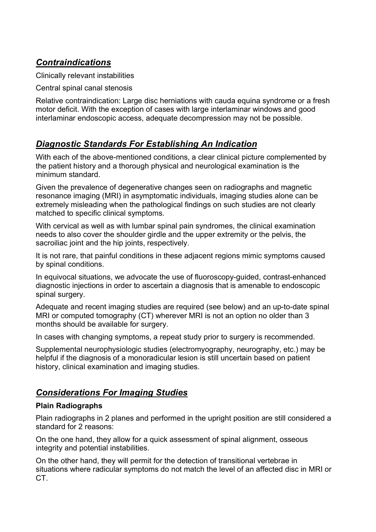# *Contraindications*

Clinically relevant instabilities

Central spinal canal stenosis

Relative contraindication: Large disc herniations with cauda equina syndrome or a fresh motor deficit. With the exception of cases with large interlaminar windows and good interlaminar endoscopic access, adequate decompression may not be possible.

# *Diagnostic Standards For Establishing An Indication*

With each of the above-mentioned conditions, a clear clinical picture complemented by the patient history and a thorough physical and neurological examination is the minimum standard.

Given the prevalence of degenerative changes seen on radiographs and magnetic resonance imaging (MRI) in asymptomatic individuals, imaging studies alone can be extremely misleading when the pathological findings on such studies are not clearly matched to specific clinical symptoms.

With cervical as well as with lumbar spinal pain syndromes, the clinical examination needs to also cover the shoulder girdle and the upper extremity or the pelvis, the sacroiliac joint and the hip joints, respectively.

It is not rare, that painful conditions in these adjacent regions mimic symptoms caused by spinal conditions.

In equivocal situations, we advocate the use of fluoroscopy-guided, contrast-enhanced diagnostic injections in order to ascertain a diagnosis that is amenable to endoscopic spinal surgery.

Adequate and recent imaging studies are required (see below) and an up-to-date spinal MRI or computed tomography (CT) wherever MRI is not an option no older than 3 months should be available for surgery.

In cases with changing symptoms, a repeat study prior to surgery is recommended.

Supplemental neurophysiologic studies (electromyography, neurography, etc.) may be helpful if the diagnosis of a monoradicular lesion is still uncertain based on patient history, clinical examination and imaging studies.

# *Considerations For Imaging Studies*

#### **Plain Radiographs**

Plain radiographs in 2 planes and performed in the upright position are still considered a standard for 2 reasons:

On the one hand, they allow for a quick assessment of spinal alignment, osseous integrity and potential instabilities.

On the other hand, they will permit for the detection of transitional vertebrae in situations where radicular symptoms do not match the level of an affected disc in MRI or CT.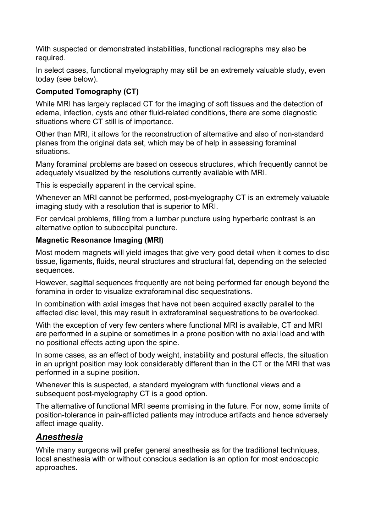With suspected or demonstrated instabilities, functional radiographs may also be required.

In select cases, functional myelography may still be an extremely valuable study, even today (see below).

#### **Computed Tomography (CT)**

While MRI has largely replaced CT for the imaging of soft tissues and the detection of edema, infection, cysts and other fluid-related conditions, there are some diagnostic situations where CT still is of importance.

Other than MRI, it allows for the reconstruction of alternative and also of non-standard planes from the original data set, which may be of help in assessing foraminal situations.

Many foraminal problems are based on osseous structures, which frequently cannot be adequately visualized by the resolutions currently available with MRI.

This is especially apparent in the cervical spine.

Whenever an MRI cannot be performed, post-myelography CT is an extremely valuable imaging study with a resolution that is superior to MRI.

For cervical problems, filling from a lumbar puncture using hyperbaric contrast is an alternative option to suboccipital puncture.

#### **Magnetic Resonance Imaging (MRI)**

Most modern magnets will yield images that give very good detail when it comes to disc tissue, ligaments, fluids, neural structures and structural fat, depending on the selected sequences.

However, sagittal sequences frequently are not being performed far enough beyond the foramina in order to visualize extraforaminal disc sequestrations.

In combination with axial images that have not been acquired exactly parallel to the affected disc level, this may result in extraforaminal sequestrations to be overlooked.

With the exception of very few centers where functional MRI is available, CT and MRI are performed in a supine or sometimes in a prone position with no axial load and with no positional effects acting upon the spine.

In some cases, as an effect of body weight, instability and postural effects, the situation in an upright position may look considerably different than in the CT or the MRI that was performed in a supine position.

Whenever this is suspected, a standard myelogram with functional views and a subsequent post-myelography CT is a good option.

The alternative of functional MRI seems promising in the future. For now, some limits of position-tolerance in pain-afflicted patients may introduce artifacts and hence adversely affect image quality.

### *Anesthesia*

While many surgeons will prefer general anesthesia as for the traditional techniques, local anesthesia with or without conscious sedation is an option for most endoscopic approaches.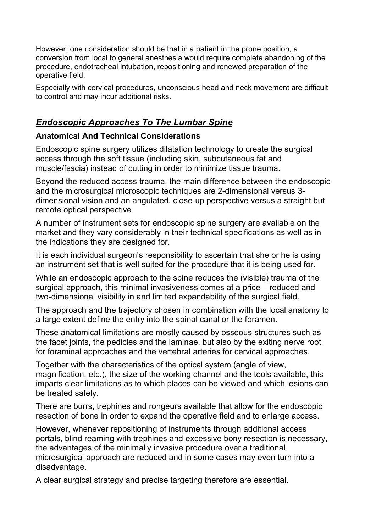However, one consideration should be that in a patient in the prone position, a conversion from local to general anesthesia would require complete abandoning of the procedure, endotracheal intubation, repositioning and renewed preparation of the operative field.

Especially with cervical procedures, unconscious head and neck movement are difficult to control and may incur additional risks.

### *Endoscopic Approaches To The Lumbar Spine*

### **Anatomical And Technical Considerations**

Endoscopic spine surgery utilizes dilatation technology to create the surgical access through the soft tissue (including skin, subcutaneous fat and muscle/fascia) instead of cutting in order to minimize tissue trauma.

Beyond the reduced access trauma, the main difference between the endoscopic and the microsurgical microscopic techniques are 2-dimensional versus 3 dimensional vision and an angulated, close-up perspective versus a straight but remote optical perspective

A number of instrument sets for endoscopic spine surgery are available on the market and they vary considerably in their technical specifications as well as in the indications they are designed for.

It is each individual surgeon's responsibility to ascertain that she or he is using an instrument set that is well suited for the procedure that it is being used for.

While an endoscopic approach to the spine reduces the (visible) trauma of the surgical approach, this minimal invasiveness comes at a price – reduced and two-dimensional visibility in and limited expandability of the surgical field.

The approach and the trajectory chosen in combination with the local anatomy to a large extent define the entry into the spinal canal or the foramen.

These anatomical limitations are mostly caused by osseous structures such as the facet joints, the pedicles and the laminae, but also by the exiting nerve root for foraminal approaches and the vertebral arteries for cervical approaches.

Together with the characteristics of the optical system (angle of view, magnification, etc.), the size of the working channel and the tools available, this imparts clear limitations as to which places can be viewed and which lesions can be treated safely.

There are burrs, trephines and rongeurs available that allow for the endoscopic resection of bone in order to expand the operative field and to enlarge access.

However, whenever repositioning of instruments through additional access portals, blind reaming with trephines and excessive bony resection is necessary, the advantages of the minimally invasive procedure over a traditional microsurgical approach are reduced and in some cases may even turn into a disadvantage.

A clear surgical strategy and precise targeting therefore are essential.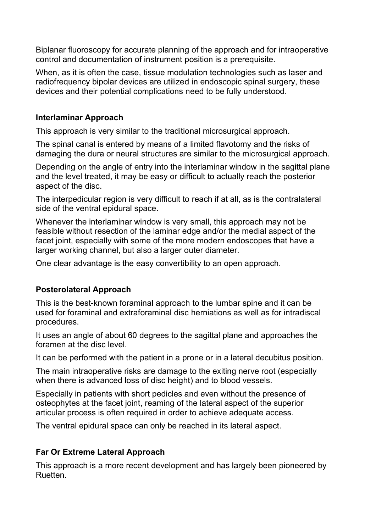Biplanar fluoroscopy for accurate planning of the approach and for intraoperative control and documentation of instrument position is a prerequisite.

When, as it is often the case, tissue modulation technologies such as laser and radiofrequency bipolar devices are utilized in endoscopic spinal surgery, these devices and their potential complications need to be fully understood.

#### **Interlaminar Approach**

This approach is very similar to the traditional microsurgical approach.

The spinal canal is entered by means of a limited flavotomy and the risks of damaging the dura or neural structures are similar to the microsurgical approach.

Depending on the angle of entry into the interlaminar window in the sagittal plane and the level treated, it may be easy or difficult to actually reach the posterior aspect of the disc.

The interpedicular region is very difficult to reach if at all, as is the contralateral side of the ventral epidural space.

Whenever the interlaminar window is very small, this approach may not be feasible without resection of the laminar edge and/or the medial aspect of the facet joint, especially with some of the more modern endoscopes that have a larger working channel, but also a larger outer diameter.

One clear advantage is the easy convertibility to an open approach.

### **Posterolateral Approach**

This is the best-known foraminal approach to the lumbar spine and it can be used for foraminal and extraforaminal disc herniations as well as for intradiscal procedures.

It uses an angle of about 60 degrees to the sagittal plane and approaches the foramen at the disc level.

It can be performed with the patient in a prone or in a lateral decubitus position.

The main intraoperative risks are damage to the exiting nerve root (especially when there is advanced loss of disc height) and to blood vessels.

Especially in patients with short pedicles and even without the presence of osteophytes at the facet joint, reaming of the lateral aspect of the superior articular process is often required in order to achieve adequate access.

The ventral epidural space can only be reached in its lateral aspect.

# **Far Or Extreme Lateral Approach**

This approach is a more recent development and has largely been pioneered by Ruetten.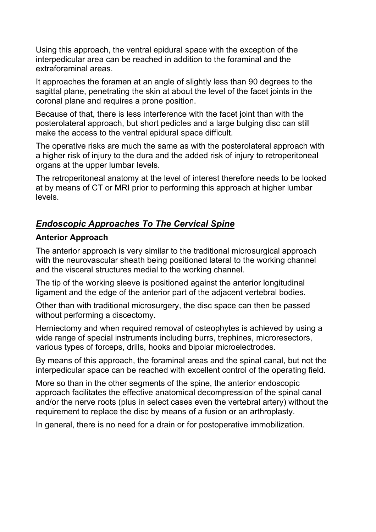Using this approach, the ventral epidural space with the exception of the interpedicular area can be reached in addition to the foraminal and the extraforaminal areas.

It approaches the foramen at an angle of slightly less than 90 degrees to the sagittal plane, penetrating the skin at about the level of the facet joints in the coronal plane and requires a prone position.

Because of that, there is less interference with the facet joint than with the posterolateral approach, but short pedicles and a large bulging disc can still make the access to the ventral epidural space difficult.

The operative risks are much the same as with the posterolateral approach with a higher risk of injury to the dura and the added risk of injury to retroperitoneal organs at the upper lumbar levels.

The retroperitoneal anatomy at the level of interest therefore needs to be looked at by means of CT or MRI prior to performing this approach at higher lumbar levels.

# *Endoscopic Approaches To The Cervical Spine*

### **Anterior Approach**

The anterior approach is very similar to the traditional microsurgical approach with the neurovascular sheath being positioned lateral to the working channel and the visceral structures medial to the working channel.

The tip of the working sleeve is positioned against the anterior longitudinal ligament and the edge of the anterior part of the adjacent vertebral bodies.

Other than with traditional microsurgery, the disc space can then be passed without performing a discectomy.

Herniectomy and when required removal of osteophytes is achieved by using a wide range of special instruments including burrs, trephines, microresectors, various types of forceps, drills, hooks and bipolar microelectrodes.

By means of this approach, the foraminal areas and the spinal canal, but not the interpedicular space can be reached with excellent control of the operating field.

More so than in the other segments of the spine, the anterior endoscopic approach facilitates the effective anatomical decompression of the spinal canal and/or the nerve roots (plus in select cases even the vertebral artery) without the requirement to replace the disc by means of a fusion or an arthroplasty.

In general, there is no need for a drain or for postoperative immobilization.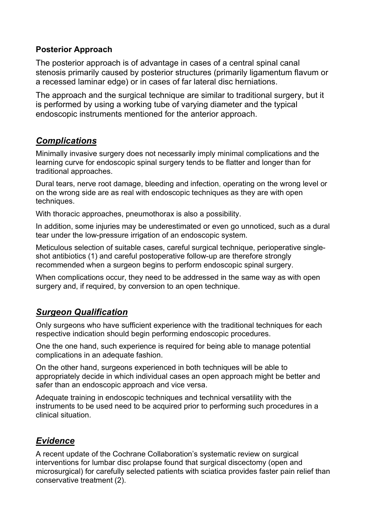#### **Posterior Approach**

The posterior approach is of advantage in cases of a central spinal canal stenosis primarily caused by posterior structures (primarily ligamentum flavum or a recessed laminar edge) or in cases of far lateral disc herniations.

The approach and the surgical technique are similar to traditional surgery, but it is performed by using a working tube of varying diameter and the typical endoscopic instruments mentioned for the anterior approach.

## *Complications*

Minimally invasive surgery does not necessarily imply minimal complications and the learning curve for endoscopic spinal surgery tends to be flatter and longer than for traditional approaches.

Dural tears, nerve root damage, bleeding and infection, operating on the wrong level or on the wrong side are as real with endoscopic techniques as they are with open techniques.

With thoracic approaches, pneumothorax is also a possibility.

In addition, some injuries may be underestimated or even go unnoticed, such as a dural tear under the low-pressure irrigation of an endoscopic system.

Meticulous selection of suitable cases, careful surgical technique, perioperative singleshot antibiotics (1) and careful postoperative follow-up are therefore strongly recommended when a surgeon begins to perform endoscopic spinal surgery.

When complications occur, they need to be addressed in the same way as with open surgery and, if required, by conversion to an open technique.

# *Surgeon Qualification*

Only surgeons who have sufficient experience with the traditional techniques for each respective indication should begin performing endoscopic procedures.

One the one hand, such experience is required for being able to manage potential complications in an adequate fashion.

On the other hand, surgeons experienced in both techniques will be able to appropriately decide in which individual cases an open approach might be better and safer than an endoscopic approach and vice versa.

Adequate training in endoscopic techniques and technical versatility with the instruments to be used need to be acquired prior to performing such procedures in a clinical situation.

# *Evidence*

A recent update of the Cochrane Collaboration's systematic review on surgical interventions for lumbar disc prolapse found that surgical discectomy (open and microsurgical) for carefully selected patients with sciatica provides faster pain relief than conservative treatment (2).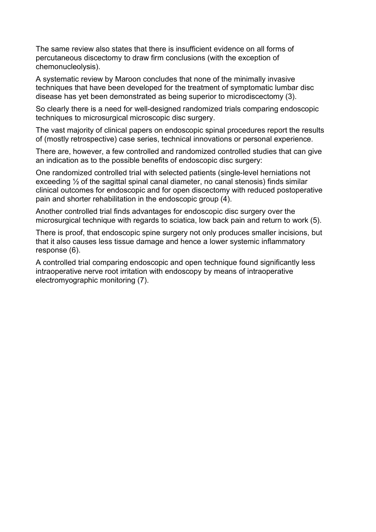The same review also states that there is insufficient evidence on all forms of percutaneous discectomy to draw firm conclusions (with the exception of chemonucleolysis).

A systematic review by Maroon concludes that none of the minimally invasive techniques that have been developed for the treatment of symptomatic lumbar disc disease has yet been demonstrated as being superior to microdiscectomy (3).

So clearly there is a need for well-designed randomized trials comparing endoscopic techniques to microsurgical microscopic disc surgery.

The vast majority of clinical papers on endoscopic spinal procedures report the results of (mostly retrospective) case series, technical innovations or personal experience.

There are, however, a few controlled and randomized controlled studies that can give an indication as to the possible benefits of endoscopic disc surgery:

One randomized controlled trial with selected patients (single-level herniations not exceeding ½ of the sagittal spinal canal diameter, no canal stenosis) finds similar clinical outcomes for endoscopic and for open discectomy with reduced postoperative pain and shorter rehabilitation in the endoscopic group (4).

Another controlled trial finds advantages for endoscopic disc surgery over the microsurgical technique with regards to sciatica, low back pain and return to work (5).

There is proof, that endoscopic spine surgery not only produces smaller incisions, but that it also causes less tissue damage and hence a lower systemic inflammatory response (6).

A controlled trial comparing endoscopic and open technique found significantly less intraoperative nerve root irritation with endoscopy by means of intraoperative electromyographic monitoring (7).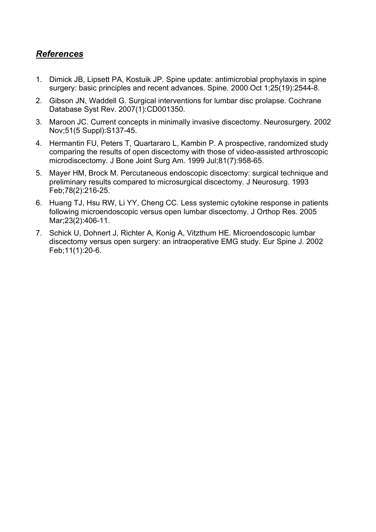# *References*

- 1. Dimick JB, Lipsett PA, Kostuik JP. Spine update: antimicrobial prophylaxis in spine surgery: basic principles and recent advances. Spine. 2000 Oct 1;25(19):2544-8.
- 2. Gibson JN, Waddell G. Surgical interventions for lumbar disc prolapse. Cochrane Database Syst Rev. 2007(1):CD001350.
- 3. Maroon JC. Current concepts in minimally invasive discectomy. Neurosurgery. 2002 Nov;51(5 Suppl):S137-45.
- 4. Hermantin FU, Peters T, Quartararo L, Kambin P. A prospective, randomized study comparing the results of open discectomy with those of video-assisted arthroscopic microdiscectomy. J Bone Joint Surg Am. 1999 Jul;81(7):958-65.
- 5. Mayer HM, Brock M. Percutaneous endoscopic discectomy: surgical technique and preliminary results compared to microsurgical discectomy. J Neurosurg. 1993 Feb;78(2):216-25.
- 6. Huang TJ, Hsu RW, Li YY, Cheng CC. Less systemic cytokine response in patients following microendoscopic versus open lumbar discectomy. J Orthop Res. 2005 Mar;23(2):406-11.
- 7. Schick U, Dohnert J, Richter A, Konig A, Vitzthum HE. Microendoscopic lumbar discectomy versus open surgery: an intraoperative EMG study. Eur Spine J. 2002 Feb;11(1):20-6.